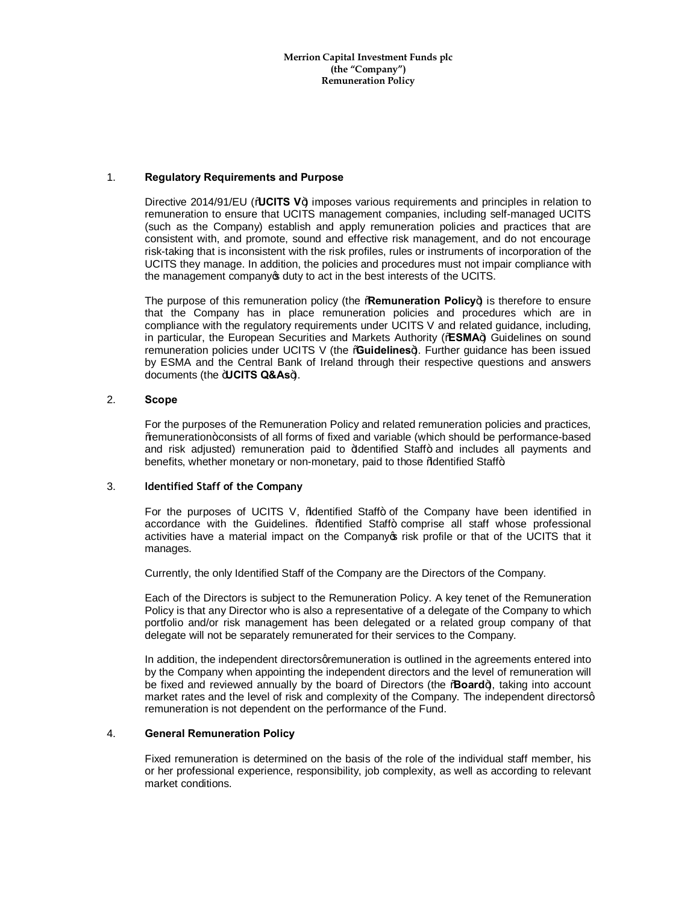**Merrion Capital Investment Funds plc (the "Company") Remuneration Policy**

## 1. **Regulatory Requirements and Purpose**

Directive 2014/91/EU (**AUCITS V**+ imposes various requirements and principles in relation to remuneration to ensure that UCITS management companies, including self-managed UCITS (such as the Company) establish and apply remuneration policies and practices that are consistent with, and promote, sound and effective risk management, and do not encourage risk-taking that is inconsistent with the risk profiles, rules or instruments of incorporation of the UCITS they manage. In addition, the policies and procedures must not impair compliance with the management company of duty to act in the best interests of the UCITS.

The purpose of this remuneration policy (the **Remuneration Policy**+) is therefore to ensure that the Company has in place remuneration policies and procedures which are in compliance with the regulatory requirements under UCITS V and related guidance, including, in particular, the European Securities and Markets Authority (%ESMA+) Guidelines on sound remuneration policies under UCITS V (the **Cuidelines**). Further guidance has been issued by ESMA and the Central Bank of Ireland through their respective questions and answers documents (the *<del>IUCITS Q&As+)</del>*.

## 2. **Scope**

For the purposes of the Remuneration Policy and related remuneration policies and practices, "remuneration" consists of all forms of fixed and variable (which should be performance-based and risk adjusted) remuneration paid to  $\frac{1}{2}$  and includes all payments and benefits, whether monetary or non-monetary, paid to those % dentified Staff+

#### 3. **Identified Staff of the Company**

For the purposes of UCITS V, % dentified Staff+ of the Company have been identified in accordance with the Guidelines. % dentified Staff+ comprise all staff whose professional activities have a material impact on the Company of risk profile or that of the UCITS that it manages.

Currently, the only Identified Staff of the Company are the Directors of the Company.

Each of the Directors is subject to the Remuneration Policy. A key tenet of the Remuneration Policy is that any Director who is also a representative of a delegate of the Company to which portfolio and/or risk management has been delegated or a related group company of that delegate will not be separately remunerated for their services to the Company.

In addition, the independent directors are muneration is outlined in the agreements entered into by the Company when appointing the independent directors and the level of remuneration will be fixed and reviewed annually by the board of Directors (the "**Board**"), taking into account market rates and the level of risk and complexity of the Company. The independent directorsq remuneration is not dependent on the performance of the Fund.

### 4. **General Remuneration Policy**

Fixed remuneration is determined on the basis of the role of the individual staff member, his or her professional experience, responsibility, job complexity, as well as according to relevant market conditions.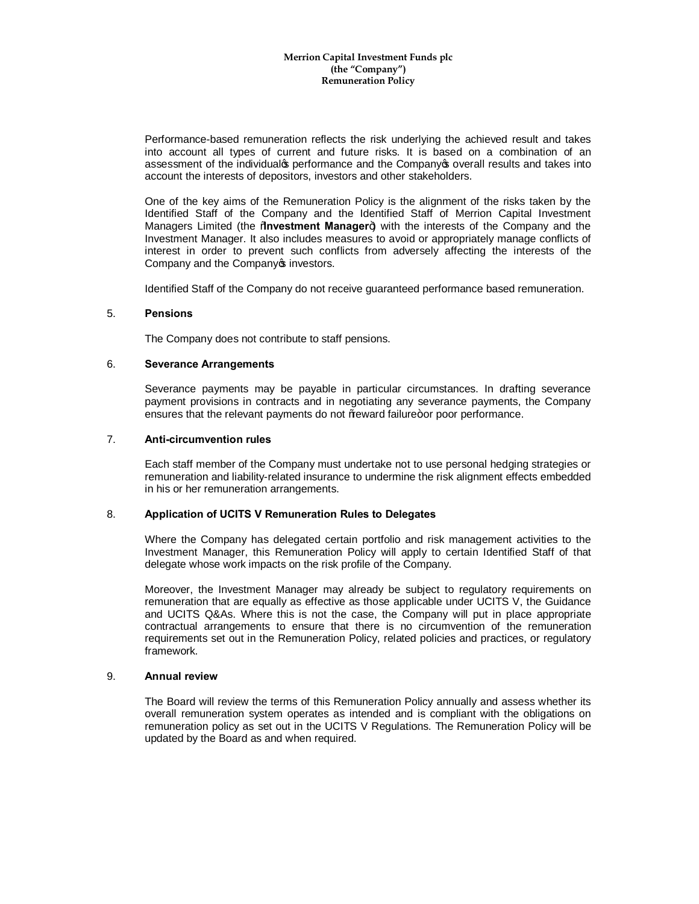Performance-based remuneration reflects the risk underlying the achieved result and takes into account all types of current and future risks. It is based on a combination of an assessment of the individualos performance and the Companyos overall results and takes into account the interests of depositors, investors and other stakeholders.

One of the key aims of the Remuneration Policy is the alignment of the risks taken by the Identified Staff of the Company and the Identified Staff of Merrion Capital Investment Managers Limited (the "**Investment Manager**") with the interests of the Company and the Investment Manager. It also includes measures to avoid or appropriately manage conflicts of interest in order to prevent such conflicts from adversely affecting the interests of the Company and the Company of investors.

Identified Staff of the Company do not receive guaranteed performance based remuneration.

#### 5. **Pensions**

The Company does not contribute to staff pensions.

#### 6. **Severance Arrangements**

Severance payments may be payable in particular circumstances. In drafting severance payment provisions in contracts and in negotiating any severance payments, the Company ensures that the relevant payments do not %eward failure+or poor performance.

#### 7. **Anti-circumvention rules**

Each staff member of the Company must undertake not to use personal hedging strategies or remuneration and liability-related insurance to undermine the risk alignment effects embedded in his or her remuneration arrangements.

## 8. **Application of UCITS V Remuneration Rules to Delegates**

Where the Company has delegated certain portfolio and risk management activities to the Investment Manager, this Remuneration Policy will apply to certain Identified Staff of that delegate whose work impacts on the risk profile of the Company.

Moreover, the Investment Manager may already be subject to regulatory requirements on remuneration that are equally as effective as those applicable under UCITS V, the Guidance and UCITS Q&As. Where this is not the case, the Company will put in place appropriate contractual arrangements to ensure that there is no circumvention of the remuneration requirements set out in the Remuneration Policy, related policies and practices, or regulatory framework.

### 9. **Annual review**

The Board will review the terms of this Remuneration Policy annually and assess whether its overall remuneration system operates as intended and is compliant with the obligations on remuneration policy as set out in the UCITS V Regulations. The Remuneration Policy will be updated by the Board as and when required.